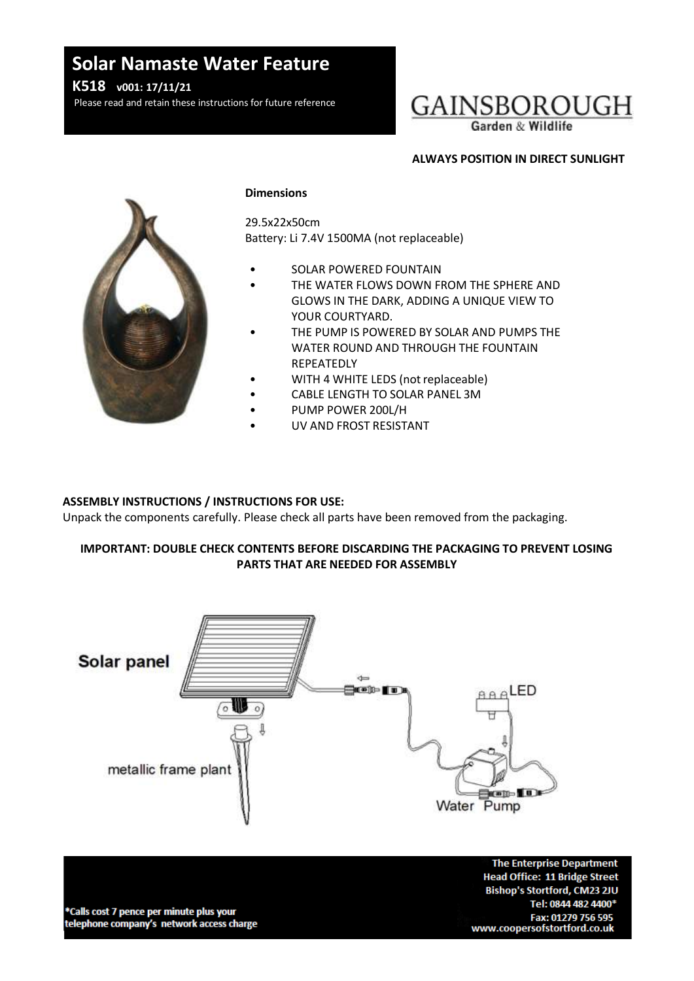# **Solar Namaste Water Feature**

**K518 v001: 17/11/21**

Please read and retain these instructions for future reference



# **ALWAYS POSITION IN DIRECT SUNLIGHT**



#### **Dimensions**

29.5x22x50cm Battery: Li 7.4V 1500MA (not replaceable)

- SOLAR POWERED FOUNTAIN
- THE WATER FLOWS DOWN FROM THE SPHERE AND GLOWS IN THE DARK, ADDING A UNIQUE VIEW TO YOUR COURTYARD.
- THE PUMP IS POWERED BY SOLAR AND PUMPS THE WATER ROUND AND THROUGH THE FOUNTAIN REPEATEDLY
- WITH 4 WHITE LEDS (not replaceable)
	- CABLE LENGTH TO SOLAR PANEL 3M
- PUMP POWER 200L/H
- UV AND FROST RESISTANT

# **ASSEMBLY INSTRUCTIONS / INSTRUCTIONS FOR USE:**

Unpack the components carefully. Please check all parts have been removed from the packaging.

# **IMPORTANT: DOUBLE CHECK CONTENTS BEFORE DISCARDING THE PACKAGING TO PREVENT LOSING PARTS THAT ARE NEEDED FOR ASSEMBLY**



\*Calls cost 7 pence per minute plus your telephone company's network access charge

**The Enterprise Department Head Office: 11 Bridge Street** Bishop's Stortford, CM23 2JU Tel: 0844 482 4400\* Fax: 01279 756 595 www.coopersofstortford.co.uk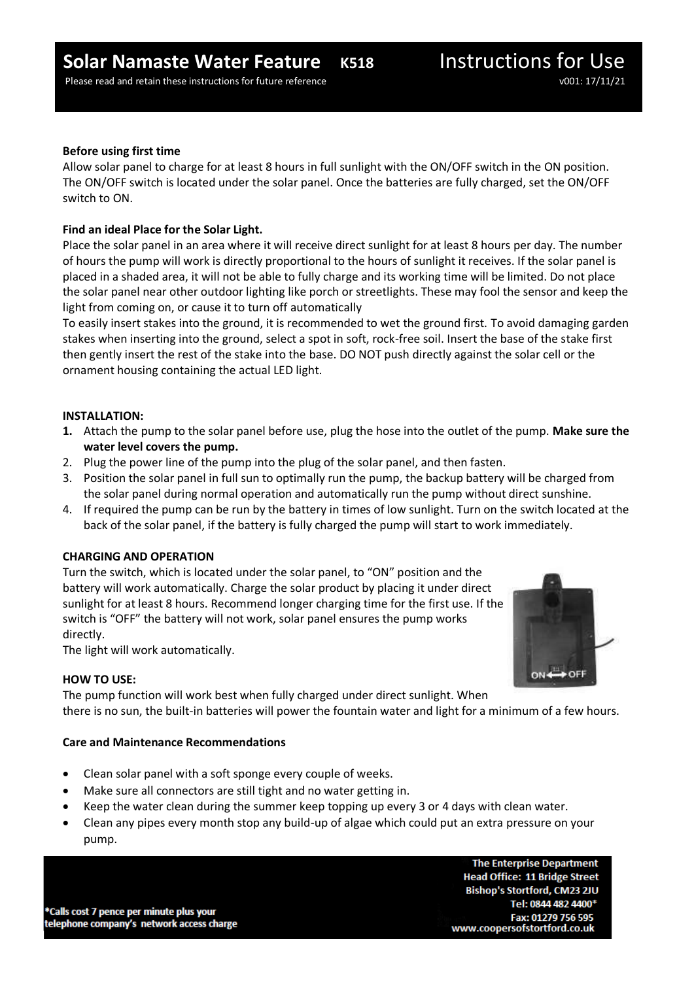# **Before using first time**

Allow solar panel to charge for at least 8 hours in full sunlight with the ON/OFF switch in the ON position. The ON/OFF switch is located under the solar panel. Once the batteries are fully charged, set the ON/OFF switch to ON.

# **Find an ideal Place for the Solar Light.**

Place the solar panel in an area where it will receive direct sunlight for at least 8 hours per day. The number of hours the pump will work is directly proportional to the hours of sunlight it receives. If the solar panel is placed in a shaded area, it will not be able to fully charge and its working time will be limited. Do not place the solar panel near other outdoor lighting like porch or streetlights. These may fool the sensor and keep the light from coming on, or cause it to turn off automatically

To easily insert stakes into the ground, it is recommended to wet the ground first. To avoid damaging garden stakes when inserting into the ground, select a spot in soft, rock-free soil. Insert the base of the stake first then gently insert the rest of the stake into the base. DO NOT push directly against the solar cell or the ornament housing containing the actual LED light.

#### **INSTALLATION:**

- **1.** Attach the pump to the solar panel before use, plug the hose into the outlet of the pump. **Make sure the water level covers the pump.**
- 2. Plug the power line of the pump into the plug of the solar panel, and then fasten.
- 3. Position the solar panel in full sun to optimally run the pump, the backup battery will be charged from the solar panel during normal operation and automatically run the pump without direct sunshine.
- 4. If required the pump can be run by the battery in times of low sunlight. Turn on the switch located at the back of the solar panel, if the battery is fully charged the pump will start to work immediately.

# **CHARGING AND OPERATION**

Turn the switch, which is located under the solar panel, to "ON" position and the battery will work automatically. Charge the solar product by placing it under direct sunlight for at least 8 hours. Recommend longer charging time for the first use. If the switch is "OFF" the battery will not work, solar panel ensures the pump works directly.

The light will work automatically.

# **HOW TO USE:**

The pump function will work best when fully charged under direct sunlight. When there is no sun, the built-in batteries will power the fountain water and light for a minimum of a few hours.

# **Care and Maintenance Recommendations**

- Clean solar panel with a soft sponge every couple of weeks.
- Make sure all connectors are still tight and no water getting in.
- Keep the water clean during the summer keep topping up every 3 or 4 days with clean water.
- Clean any pipes every month stop any build-up of algae which could put an extra pressure on your pump.

\*Calls cost 7 pence per minute plus your telephone company's network access charge

**The Enterprise Department Head Office: 11 Bridge Street** Bishop's Stortford, CM23 2JU Tel: 0844 482 4400\* Fax: 01279 756 595 www.coopersofstortford.co.uk